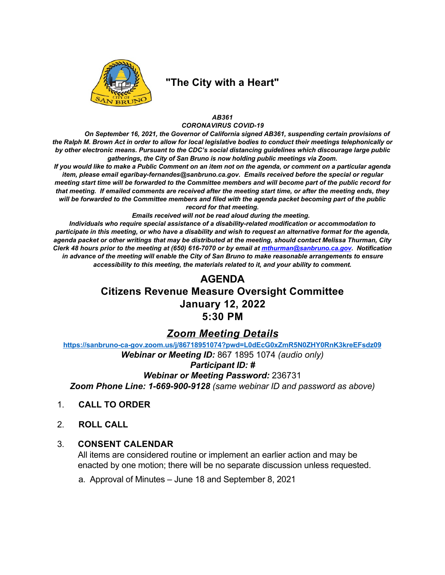

# "The City with a Heart"

### AB361 **CORONAVIRUS COVID-19**

On September 16, 2021, the Governor of California signed AB361, suspending certain provisions of the Ralph M. Brown Act in order to allow for local legislative bodies to conduct their meetings telephonically or by other electronic means. Pursuant to the CDC's social distancing guidelines which discourage large public gatherings, the City of San Bruno is now holding public meetings via Zoom.

If you would like to make a Public Comment on an item not on the agenda, or comment on a particular agenda item, please email egaribay-fernandes@sanbruno.ca.gov. Emails received before the special or regular meeting start time will be forwarded to the Committee members and will become part of the public record for that meeting. If emailed comments are received after the meeting start time, or after the meeting ends, they will be forwarded to the Committee members and filed with the agenda packet becoming part of the public record for that meeting.

Emails received will not be read aloud during the meeting.

Individuals who require special assistance of a disability-related modification or accommodation to participate in this meeting, or who have a disability and wish to request an alternative format for the agenda, agenda packet or other writings that may be distributed at the meeting, should contact Melissa Thurman, City Clerk 48 hours prior to the meeting at (650) 616-7070 or by email at *mthurman@sanbruno.ca.gov*. Notification in advance of the meeting will enable the City of San Bruno to make reasonable arrangements to ensure accessibility to this meeting, the materials related to it, and your ability to comment.

## **AGENDA**

# **Citizens Revenue Measure Oversight Committee January 12, 2022**  $5:30$  PM

### **Zoom Meeting Details**

https://sanbruno-ca-gov.zoom.us/j/86718951074?pwd=L0dEcG0xZmR5N0ZHY0RnK3kreEFsdz09 Webinar or Meeting ID: 867 1895 1074 (audio only) **Participant ID: #** 

**Webinar or Meeting Password: 236731** Zoom Phone Line: 1-669-900-9128 (same webinar ID and password as above)

- **CALL TO ORDER**  $1<sup>1</sup>$
- $2<sup>1</sup>$ **ROLL CALL**

#### $3<sup>1</sup>$ **CONSENT CALENDAR**

All items are considered routine or implement an earlier action and may be enacted by one motion; there will be no separate discussion unless requested.

a. Approval of Minutes - June 18 and September 8, 2021